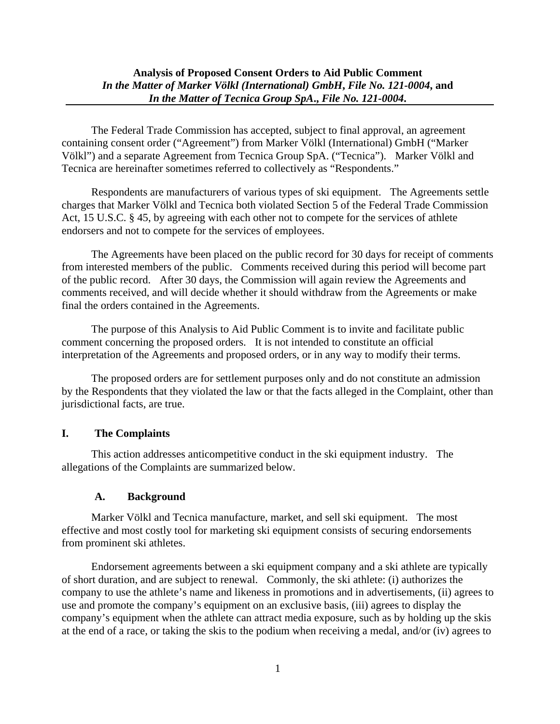The Federal Trade Commission has accepted, subject to final approval, an agreement containing consent order ("Agreement") from Marker Völkl (International) GmbH ("Marker Völkl") and a separate Agreement from Tecnica Group SpA. ("Tecnica"). Marker Völkl and Tecnica are hereinafter sometimes referred to collectively as "Respondents."

Respondents are manufacturers of various types of ski equipment. The Agreements settle charges that Marker Völkl and Tecnica both violated Section 5 of the Federal Trade Commission Act, 15 U.S.C. § 45, by agreeing with each other not to compete for the services of athlete endorsers and not to compete for the services of employees.

The Agreements have been placed on the public record for 30 days for receipt of comments from interested members of the public. Comments received during this period will become part of the public record. After 30 days, the Commission will again review the Agreements and comments received, and will decide whether it should withdraw from the Agreements or make final the orders contained in the Agreements.

The purpose of this Analysis to Aid Public Comment is to invite and facilitate public comment concerning the proposed orders. It is not intended to constitute an official interpretation of the Agreements and proposed orders, or in any way to modify their terms.

The proposed orders are for settlement purposes only and do not constitute an admission by the Respondents that they violated the law or that the facts alleged in the Complaint, other than jurisdictional facts, are true.

# **I. The Complaints**

This action addresses anticompetitive conduct in the ski equipment industry. The allegations of the Complaints are summarized below.

# **A. Background**

Marker Völkl and Tecnica manufacture, market, and sell ski equipment. The most effective and most costly tool for marketing ski equipment consists of securing endorsements from prominent ski athletes.

Endorsement agreements between a ski equipment company and a ski athlete are typically of short duration, and are subject to renewal. Commonly, the ski athlete: (i) authorizes the company to use the athlete's name and likeness in promotions and in advertisements, (ii) agrees to use and promote the company's equipment on an exclusive basis, (iii) agrees to display the company's equipment when the athlete can attract media exposure, such as by holding up the skis at the end of a race, or taking the skis to the podium when receiving a medal, and/or (iv) agrees to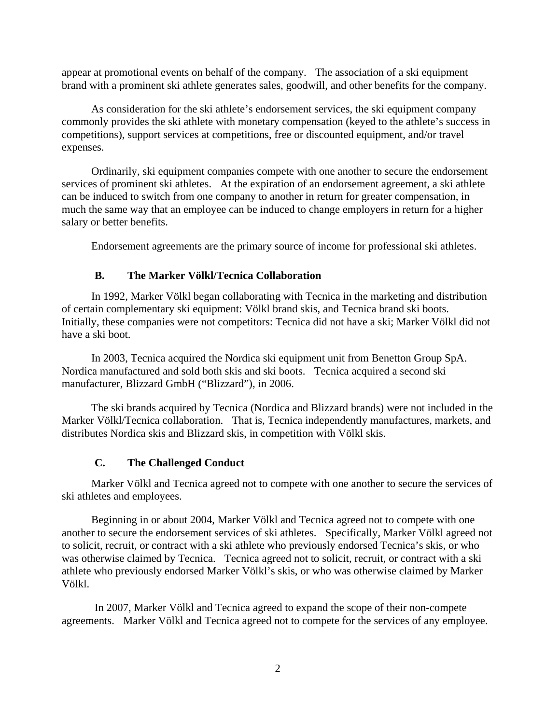appear at promotional events on behalf of the company. The association of a ski equipment brand with a prominent ski athlete generates sales, goodwill, and other benefits for the company.

As consideration for the ski athlete's endorsement services, the ski equipment company commonly provides the ski athlete with monetary compensation (keyed to the athlete's success in competitions), support services at competitions, free or discounted equipment, and/or travel expenses.

Ordinarily, ski equipment companies compete with one another to secure the endorsement services of prominent ski athletes. At the expiration of an endorsement agreement, a ski athlete can be induced to switch from one company to another in return for greater compensation, in much the same way that an employee can be induced to change employers in return for a higher salary or better benefits.

Endorsement agreements are the primary source of income for professional ski athletes.

### **B. The Marker Völkl/Tecnica Collaboration**

In 1992, Marker Völkl began collaborating with Tecnica in the marketing and distribution of certain complementary ski equipment: Völkl brand skis, and Tecnica brand ski boots. Initially, these companies were not competitors: Tecnica did not have a ski; Marker Völkl did not have a ski boot.

In 2003, Tecnica acquired the Nordica ski equipment unit from Benetton Group SpA. Nordica manufactured and sold both skis and ski boots. Tecnica acquired a second ski manufacturer, Blizzard GmbH ("Blizzard"), in 2006.

The ski brands acquired by Tecnica (Nordica and Blizzard brands) were not included in the Marker Völkl/Tecnica collaboration. That is, Tecnica independently manufactures, markets, and distributes Nordica skis and Blizzard skis, in competition with Völkl skis.

## **C. The Challenged Conduct**

Marker Völkl and Tecnica agreed not to compete with one another to secure the services of ski athletes and employees.

Beginning in or about 2004, Marker Völkl and Tecnica agreed not to compete with one another to secure the endorsement services of ski athletes. Specifically, Marker Völkl agreed not to solicit, recruit, or contract with a ski athlete who previously endorsed Tecnica's skis, or who was otherwise claimed by Tecnica. Tecnica agreed not to solicit, recruit, or contract with a ski athlete who previously endorsed Marker Völkl's skis, or who was otherwise claimed by Marker Völkl.

In 2007, Marker Völkl and Tecnica agreed to expand the scope of their non-compete agreements. Marker Völkl and Tecnica agreed not to compete for the services of any employee.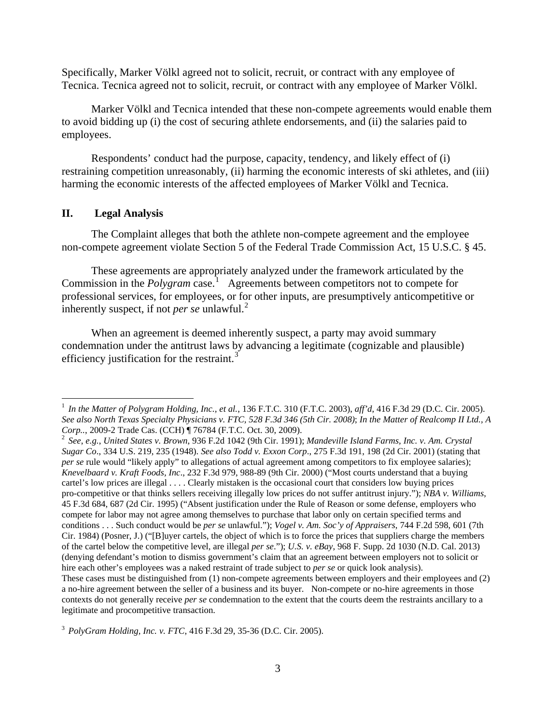Specifically, Marker Völkl agreed not to solicit, recruit, or contract with any employee of Tecnica. Tecnica agreed not to solicit, recruit, or contract with any employee of Marker Völkl.

Marker Völkl and Tecnica intended that these non-compete agreements would enable them to avoid bidding up (i) the cost of securing athlete endorsements, and (ii) the salaries paid to employees.

Respondents' conduct had the purpose, capacity, tendency, and likely effect of (i) restraining competition unreasonably, (ii) harming the economic interests of ski athletes, and (iii) harming the economic interests of the affected employees of Marker Völkl and Tecnica.

# **II. Legal Analysis**

The Complaint alleges that both the athlete non-compete agreement and the employee non-compete agreement violate Section 5 of the Federal Trade Commission Act, 15 U.S.C. § 45.

These agreements are appropriately analyzed under the framework articulated by the Commission in the *Polygram* case.<sup>[1](#page-2-0)</sup> Agreements between competitors not to compete for professional services, for employees, or for other inputs, are presumptively anticompetitive or inherently suspect, if not *per se* unlawful. [2](#page-2-1)

When an agreement is deemed inherently suspect, a party may avoid summary condemnation under the antitrust laws by advancing a legitimate (cognizable and plausible) efficiency justification for the restraint.<sup>[3](#page-2-2)</sup>

<span id="page-2-0"></span> <sup>1</sup> *In the Matter of Polygram Holding, Inc., et al.*, 136 F.T.C. 310 (F.T.C. 2003), *aff'd*, 416 F.3d 29 (D.C. Cir. 2005). *See also North Texas Specialty Physicians v. FTC, 528 F.3d 346 (5th Cir. 2008)*; *In the Matter of Realcomp II Ltd., A Corp..,* 2009-2 Trade Cas. (CCH) ¶ 76784 (F.T.C. Oct. 30, 2009).<br><sup>2</sup> *See, e.g., United States v. Brown,* 936 F.2d 1042 (9th Cir. 1991); *Mandeville Island Farms, Inc. v. Am. Crystal* 

<span id="page-2-1"></span>*Sugar Co*., 334 U.S. 219, 235 (1948). *See also Todd v. Exxon Corp*., 275 F.3d 191, 198 (2d Cir. 2001) (stating that *per se* rule would "likely apply" to allegations of actual agreement among competitors to fix employee salaries); *Knevelbaard v. Kraft Foods, Inc*., 232 F.3d 979, 988-89 (9th Cir. 2000) ("Most courts understand that a buying cartel's low prices are illegal . . . . Clearly mistaken is the occasional court that considers low buying prices pro-competitive or that thinks sellers receiving illegally low prices do not suffer antitrust injury."); *NBA v. Williams*, 45 F.3d 684, 687 (2d Cir. 1995) ("Absent justification under the Rule of Reason or some defense, employers who compete for labor may not agree among themselves to purchase that labor only on certain specified terms and conditions . . . Such conduct would be *per se* unlawful."); *Vogel v. Am. Soc'y of Appraisers*, 744 F.2d 598, 601 (7th Cir. 1984) (Posner, J.) ("[B]uyer cartels, the object of which is to force the prices that suppliers charge the members of the cartel below the competitive level, are illegal *per se*."); *U.S. v. eBay*, 968 F. Supp. 2d 1030 (N.D. Cal. 2013) (denying defendant's motion to dismiss government's claim that an agreement between employers not to solicit or hire each other's employees was a naked restraint of trade subject to *per se* or quick look analysis). These cases must be distinguished from (1) non-compete agreements between employers and their employees and (2) a no-hire agreement between the seller of a business and its buyer. Non-compete or no-hire agreements in those contexts do not generally receive *per se* condemnation to the extent that the courts deem the restraints ancillary to a legitimate and procompetitive transaction.

<span id="page-2-2"></span><sup>3</sup> *PolyGram Holding, Inc. v. FTC*, 416 F.3d 29, 35-36 (D.C. Cir. 2005).